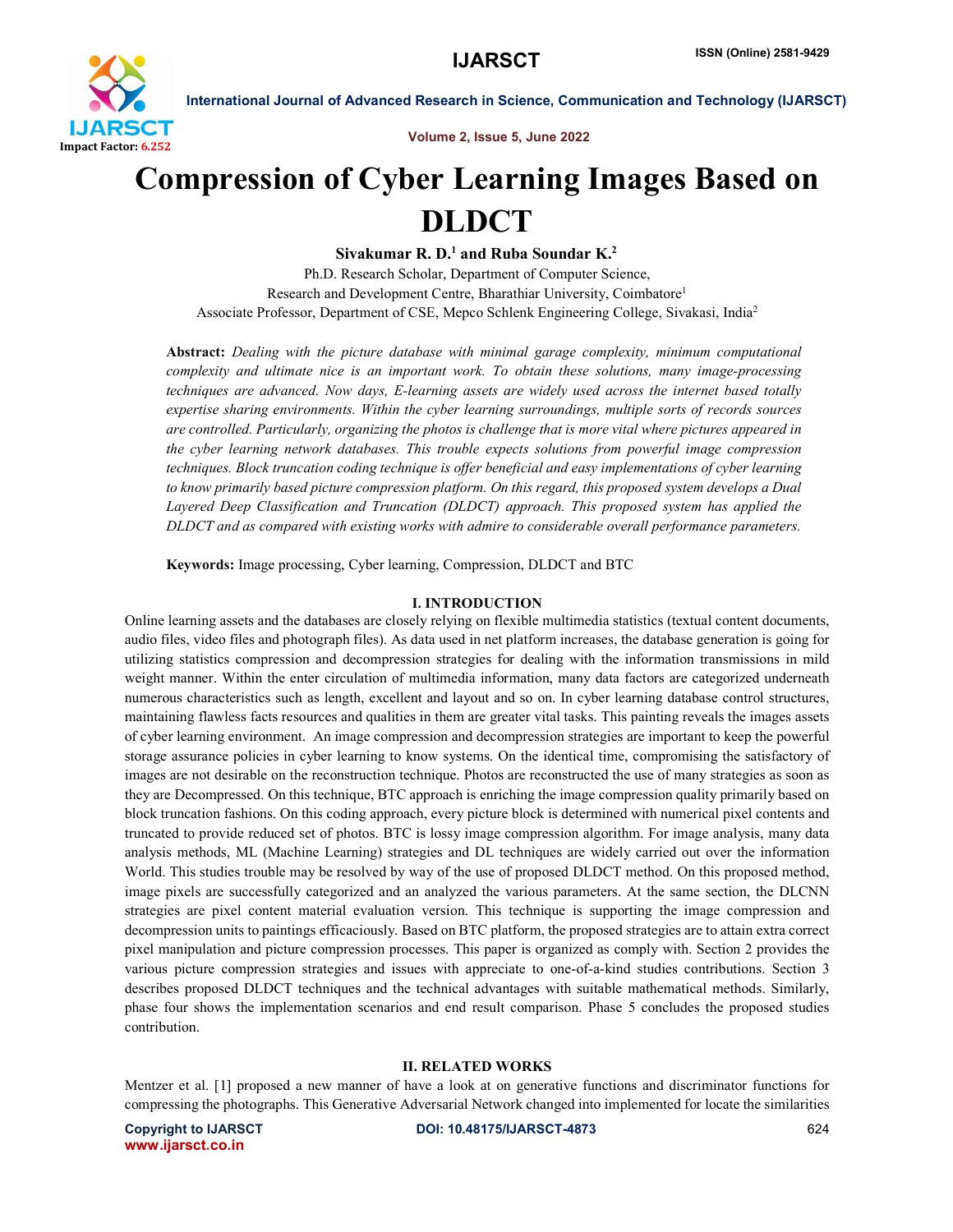

Volume 2, Issue 5, June 2022

# Compression of Cyber Learning Images Based on DLDCT

Sivakumar R. D.<sup>1</sup> and Ruba Soundar K.<sup>2</sup> Ph.D. Research Scholar, Department of Computer Science, Research and Development Centre, Bharathiar University, Coimbatore1 Associate Professor, Department of CSE, Mepco Schlenk Engineering College, Sivakasi, India2

Abstract: *Dealing with the picture database with minimal garage complexity, minimum computational complexity and ultimate nice is an important work. To obtain these solutions, many image-processing techniques are advanced. Now days, E-learning assets are widely used across the internet based totally expertise sharing environments. Within the cyber learning surroundings, multiple sorts of records sources are controlled. Particularly, organizing the photos is challenge that is more vital where pictures appeared in the cyber learning network databases. This trouble expects solutions from powerful image compression techniques. Block truncation coding technique is offer beneficial and easy implementations of cyber learning to know primarily based picture compression platform. On this regard, this proposed system develops a Dual Layered Deep Classification and Truncation (DLDCT) approach. This proposed system has applied the DLDCT and as compared with existing works with admire to considerable overall performance parameters.*

Keywords: Image processing, Cyber learning, Compression, DLDCT and BTC

### I. INTRODUCTION

Online learning assets and the databases are closely relying on flexible multimedia statistics (textual content documents, audio files, video files and photograph files). As data used in net platform increases, the database generation is going for utilizing statistics compression and decompression strategies for dealing with the information transmissions in mild weight manner. Within the enter circulation of multimedia information, many data factors are categorized underneath numerous characteristics such as length, excellent and layout and so on. In cyber learning database control structures, maintaining flawless facts resources and qualities in them are greater vital tasks. This painting reveals the images assets of cyber learning environment. An image compression and decompression strategies are important to keep the powerful storage assurance policies in cyber learning to know systems. On the identical time, compromising the satisfactory of images are not desirable on the reconstruction technique. Photos are reconstructed the use of many strategies as soon as they are Decompressed. On this technique, BTC approach is enriching the image compression quality primarily based on block truncation fashions. On this coding approach, every picture block is determined with numerical pixel contents and truncated to provide reduced set of photos. BTC is lossy image compression algorithm. For image analysis, many data analysis methods, ML (Machine Learning) strategies and DL techniques are widely carried out over the information World. This studies trouble may be resolved by way of the use of proposed DLDCT method. On this proposed method, image pixels are successfully categorized and an analyzed the various parameters. At the same section, the DLCNN strategies are pixel content material evaluation version. This technique is supporting the image compression and decompression units to paintings efficaciously. Based on BTC platform, the proposed strategies are to attain extra correct pixel manipulation and picture compression processes. This paper is organized as comply with. Section 2 provides the various picture compression strategies and issues with appreciate to one-of-a-kind studies contributions. Section 3 describes proposed DLDCT techniques and the technical advantages with suitable mathematical methods. Similarly, phase four shows the implementation scenarios and end result comparison. Phase 5 concludes the proposed studies contribution.

#### II. RELATED WORKS

Mentzer et al. [1] proposed a new manner of have a look at on generative functions and discriminator functions for compressing the photographs. This Generative Adversarial Network changed into implemented for locate the similarities

www.ijarsct.co.in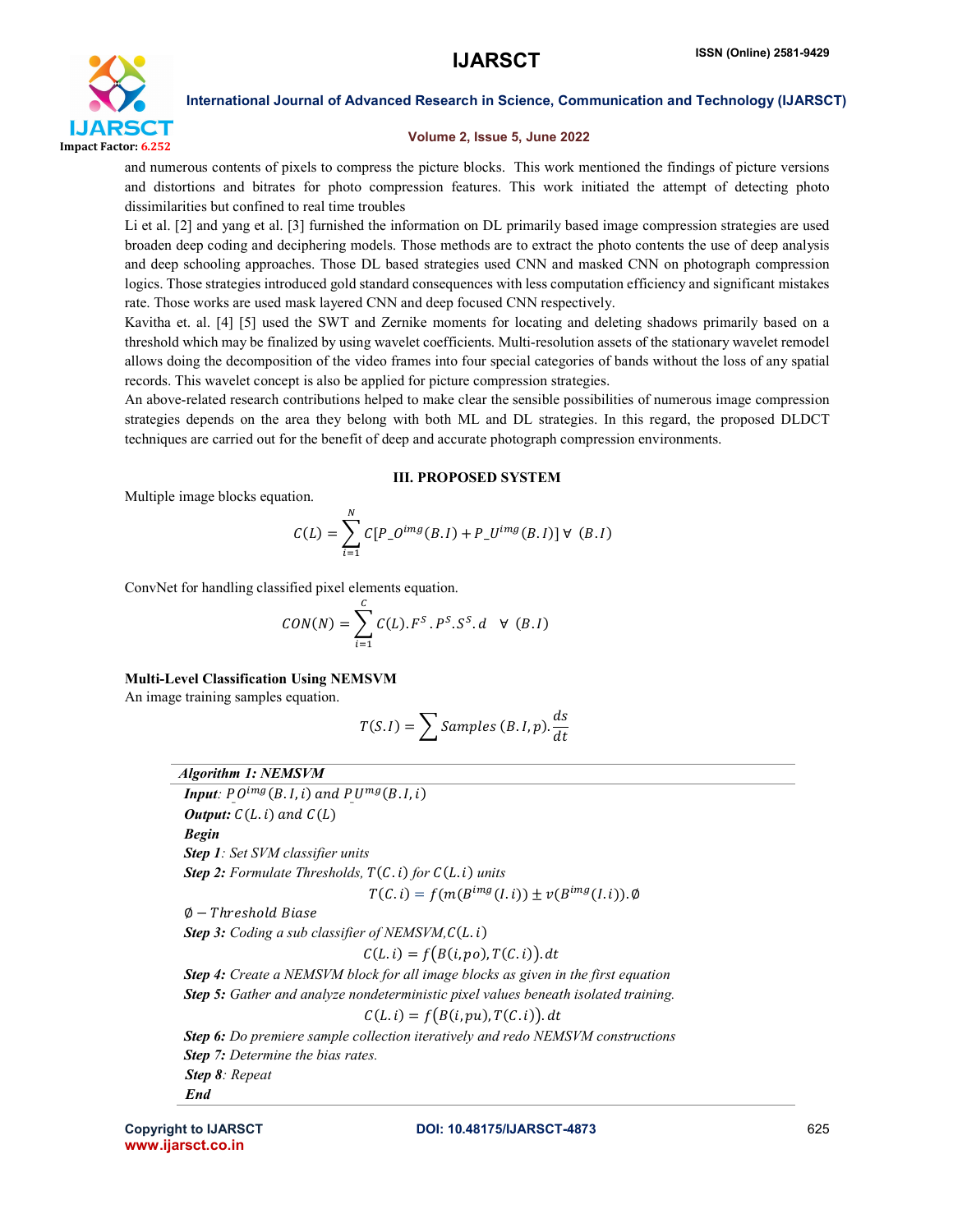

# Volume 2, Issue 5, June 2022

and numerous contents of pixels to compress the picture blocks. This work mentioned the findings of picture versions and distortions and bitrates for photo compression features. This work initiated the attempt of detecting photo dissimilarities but confined to real time troubles

Li et al. [2] and yang et al. [3] furnished the information on DL primarily based image compression strategies are used broaden deep coding and deciphering models. Those methods are to extract the photo contents the use of deep analysis and deep schooling approaches. Those DL based strategies used CNN and masked CNN on photograph compression logics. Those strategies introduced gold standard consequences with less computation efficiency and significant mistakes rate. Those works are used mask layered CNN and deep focused CNN respectively.

Kavitha et. al. [4] [5] used the SWT and Zernike moments for locating and deleting shadows primarily based on a threshold which may be finalized by using wavelet coefficients. Multi-resolution assets of the stationary wavelet remodel allows doing the decomposition of the video frames into four special categories of bands without the loss of any spatial records. This wavelet concept is also be applied for picture compression strategies.

An above-related research contributions helped to make clear the sensible possibilities of numerous image compression strategies depends on the area they belong with both ML and DL strategies. In this regard, the proposed DLDCT techniques are carried out for the benefit of deep and accurate photograph compression environments.

### III. PROPOSED SYSTEM

Multiple image blocks equation.

$$
C(L) = \sum_{i=1}^{N} C[P\_O^{img}(B.I) + P\_U^{img}(B.I)] \forall (B.I)
$$

ConvNet for handling classified pixel elements equation.

$$
CON(N) = \sum_{i=1}^{C} C(L).F^{S}.P^{S}.S^{S}.d \quad \forall \ (B.I)
$$

### Multi-Level Classification Using NEMSVM

An image training samples equation.

$$
T(S.I) = \sum \text{Samples } (B.I,p).\frac{ds}{dt}
$$

# *Algorithm 1: NEMSVM*

*Input:*  $P O^{img}(B.I,i)$  and  $P U^{mg}(B.I,i)$ *Output:*  $C(L, i)$  and  $C(L)$ *Begin Step 1: Set SVM classifier units*  **Step 2:** Formulate Thresholds,  $T(C, i)$  for  $C(L, i)$  units  $T(C, i) = f(m(B^{img}(I, i)) \pm v(B^{img}(I, i)).\emptyset$  $\emptyset$  – Threshold Biase **Step 3:** Coding a sub classifier of NEMSVM, $C(L, i)$  $C(L, i) = f(B(i, po), T(C, i)).$  dt *Step 4: Create a NEMSVM block for all image blocks as given in the first equation Step 5: Gather and analyze nondeterministic pixel values beneath isolated training.*  $C(L, i) = f(B(i, pu), T(C, i)).$  dt *Step 6: Do premiere sample collection iteratively and redo NEMSVM constructions Step 7: Determine the bias rates. Step 8: Repeat End* 

www.ijarsct.co.in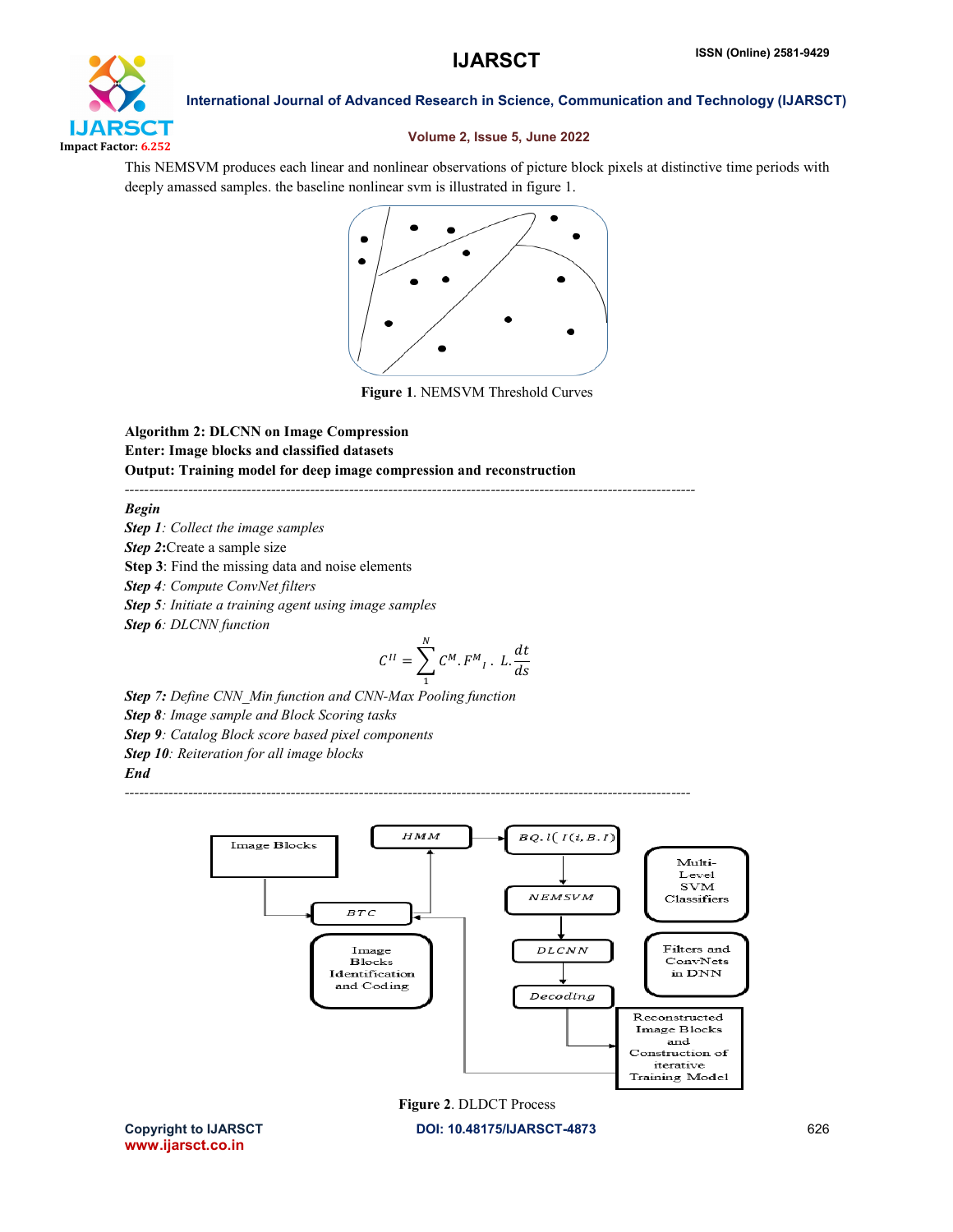

# Volume 2, Issue 5, June 2022

This NEMSVM produces each linear and nonlinear observations of picture block pixels at distinctive time periods with deeply amassed samples. the baseline nonlinear svm is illustrated in figure 1.



Figure 1. NEMSVM Threshold Curves

Algorithm 2: DLCNN on Image Compression Enter: Image blocks and classified datasets Output: Training model for deep image compression and reconstruction

*---------------------------------------------------------------------------------------------------------------------*

*--------------------------------------------------------------------------------------------------------------------*

*Begin*

*Step 1: Collect the image samples Step 2*:Create a sample size Step 3: Find the missing data and noise elements *Step 4: Compute ConvNet filters Step 5: Initiate a training agent using image samples Step 6: DLCNN function* 

$$
C^{II} = \sum_{1}^{N} C^{M} \cdot F^{M}{}_{I} \cdot L \cdot \frac{dt}{ds}
$$

*Step 7: Define CNN\_Min function and CNN-Max Pooling function Step 8: Image sample and Block Scoring tasks Step 9: Catalog Block score based pixel components Step 10: Reiteration for all image blocks End*



Figure 2. DLDCT Process

www.ijarsct.co.in

Copyright to IJARSCT DOI: 10.48175/IJARSCT-4873 626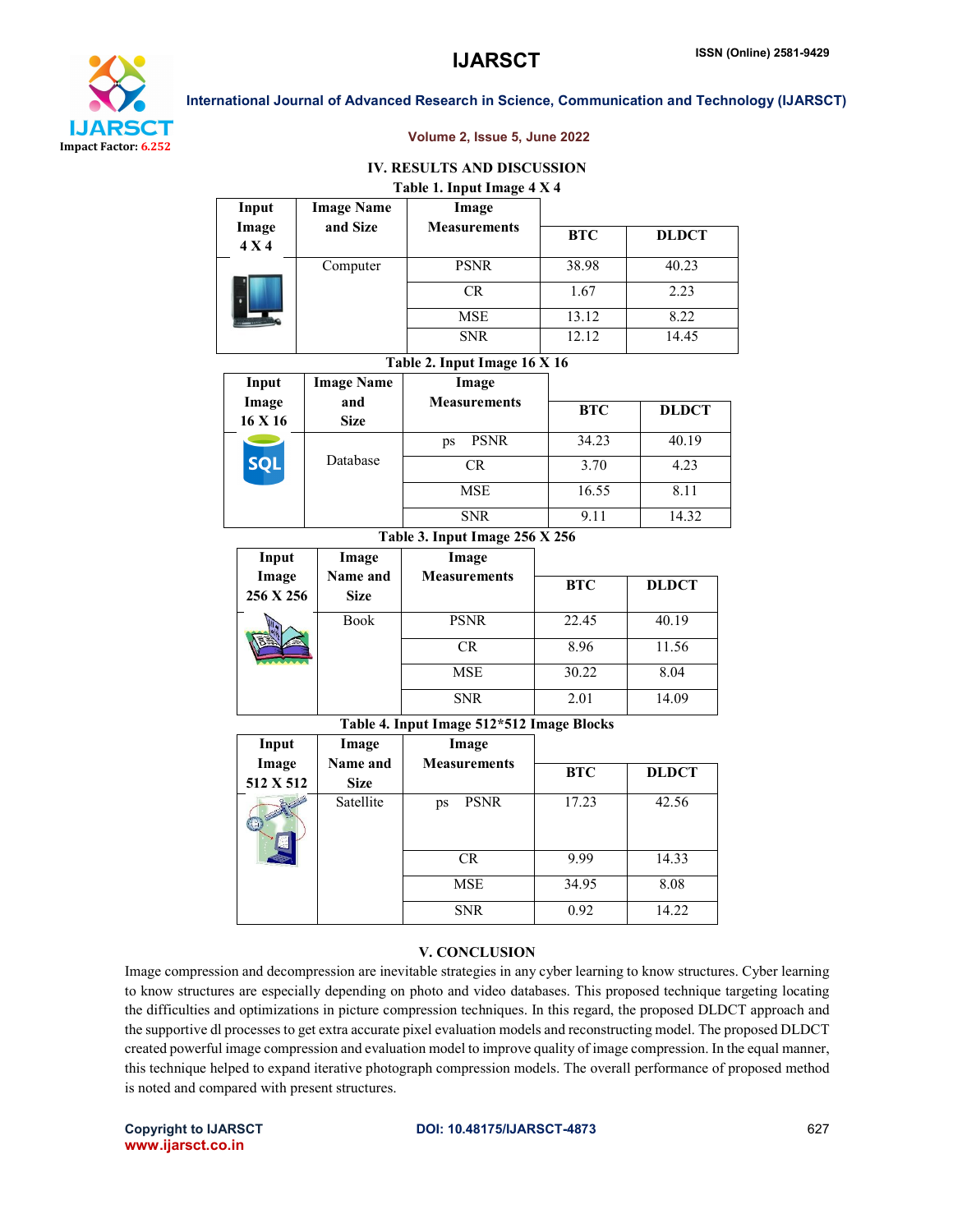

Input

Image Name

International Journal of Advanced Research in Science, Communication and Technology (IJARSCT)

#### Volume 2, Issue 5, June 2022

# IV. RESULTS AND DISCUSSION Table 1. Input Image 4 X 4

Image

|                | and Size          | <b>Measurements</b>            |            |              |  |
|----------------|-------------------|--------------------------------|------------|--------------|--|
| Image<br>4 X 4 |                   |                                | <b>BTC</b> | <b>DLDCT</b> |  |
|                | Computer          | <b>PSNR</b>                    | 38.98      | 40.23        |  |
|                |                   | <b>CR</b>                      | 1.67       | 2.23         |  |
|                |                   | <b>MSE</b>                     | 13.12      | 8.22         |  |
|                |                   | <b>SNR</b>                     | 12.12      | 14.45        |  |
|                |                   | Table 2. Input Image 16 X 16   |            |              |  |
| Input          | <b>Image Name</b> | Image                          |            |              |  |
| Image          | and               | <b>Measurements</b>            | <b>BTC</b> | <b>DLDCT</b> |  |
| 16 X 16        | <b>Size</b>       |                                |            |              |  |
| <b>SQL</b>     | Database          | <b>PSNR</b><br>ps              | 34.23      | 40.19        |  |
|                |                   | <b>CR</b>                      | 3.70       | 4.23         |  |
|                |                   | <b>MSE</b>                     | 16.55      | 8.11         |  |
|                |                   | <b>SNR</b>                     | 9.11       | 14.32        |  |
|                |                   | Table 3. Input Image 256 X 256 |            |              |  |
| Input          | Image             | Image                          |            |              |  |
| Image          | Name and          | <b>Measurements</b>            | <b>BTC</b> | <b>DLDCT</b> |  |
| 256 X 256      | <b>Size</b>       |                                |            |              |  |
|                | <b>Book</b>       | <b>PSNR</b>                    | 22.45      | 40.19        |  |
|                |                   | <b>CR</b>                      | 8.96       | 11.56        |  |

#### Table 4. Input Image 512\*512 Image Blocks

MSE 30.22 8.04 SNR 2.01 14.09

| Input<br>Image | Image<br>Name and | Image<br><b>Measurements</b> |            |              |  |
|----------------|-------------------|------------------------------|------------|--------------|--|
|                |                   |                              | <b>BTC</b> | <b>DLDCT</b> |  |
| 512 X 512      | <b>Size</b>       |                              |            |              |  |
|                | Satellite         | <b>PSNR</b><br>ps            | 17.23      | 42.56        |  |
|                |                   | <b>CR</b>                    | 9.99       | 14.33        |  |
|                |                   | <b>MSE</b>                   | 34.95      | 8.08         |  |
|                |                   | <b>SNR</b>                   | 0.92       | 14.22        |  |

#### V. CONCLUSION

Image compression and decompression are inevitable strategies in any cyber learning to know structures. Cyber learning to know structures are especially depending on photo and video databases. This proposed technique targeting locating the difficulties and optimizations in picture compression techniques. In this regard, the proposed DLDCT approach and the supportive dl processes to get extra accurate pixel evaluation models and reconstructing model. The proposed DLDCT created powerful image compression and evaluation model to improve quality of image compression. In the equal manner, this technique helped to expand iterative photograph compression models. The overall performance of proposed method is noted and compared with present structures.

www.ijarsct.co.in